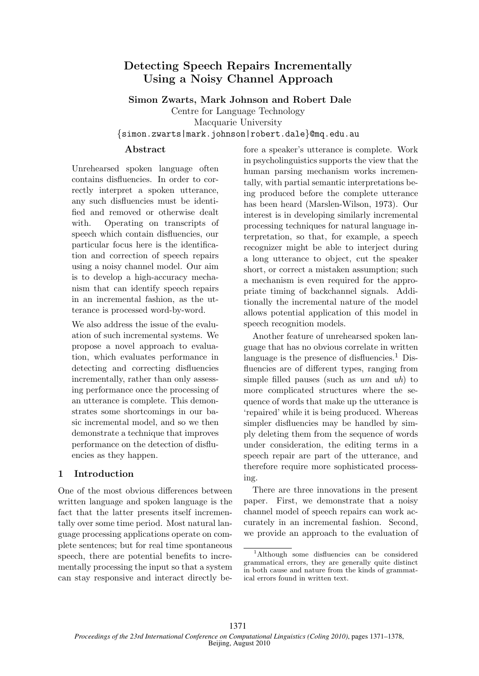# Detecting Speech Repairs Incrementally Using a Noisy Channel Approach

### Simon Zwarts, Mark Johnson and Robert Dale

Centre for Language Technology

Macquarie University

{simon.zwarts|mark.johnson|robert.dale}@mq.edu.au

# Abstract

Unrehearsed spoken language often contains disfluencies. In order to correctly interpret a spoken utterance, any such disfluencies must be identified and removed or otherwise dealt with. Operating on transcripts of speech which contain disfluencies, our particular focus here is the identification and correction of speech repairs using a noisy channel model. Our aim is to develop a high-accuracy mechanism that can identify speech repairs in an incremental fashion, as the utterance is processed word-by-word.

We also address the issue of the evaluation of such incremental systems. We propose a novel approach to evaluation, which evaluates performance in detecting and correcting disfluencies incrementally, rather than only assessing performance once the processing of an utterance is complete. This demonstrates some shortcomings in our basic incremental model, and so we then demonstrate a technique that improves performance on the detection of disfluencies as they happen.

## 1 Introduction

One of the most obvious differences between written language and spoken language is the fact that the latter presents itself incrementally over some time period. Most natural language processing applications operate on complete sentences; but for real time spontaneous speech, there are potential benefits to incrementally processing the input so that a system can stay responsive and interact directly be-

fore a speaker's utterance is complete. Work in psycholinguistics supports the view that the human parsing mechanism works incrementally, with partial semantic interpretations being produced before the complete utterance has been heard (Marslen-Wilson, 1973). Our interest is in developing similarly incremental processing techniques for natural language interpretation, so that, for example, a speech recognizer might be able to interject during a long utterance to object, cut the speaker short, or correct a mistaken assumption; such a mechanism is even required for the appropriate timing of backchannel signals. Additionally the incremental nature of the model allows potential application of this model in speech recognition models.

Another feature of unrehearsed spoken language that has no obvious correlate in written language is the presence of disfluencies.<sup>1</sup> Disfluencies are of different types, ranging from simple filled pauses (such as  $um$  and  $uh$ ) to more complicated structures where the sequence of words that make up the utterance is 'repaired' while it is being produced. Whereas simpler disfluencies may be handled by simply deleting them from the sequence of words under consideration, the editing terms in a speech repair are part of the utterance, and therefore require more sophisticated processing.

There are three innovations in the present paper. First, we demonstrate that a noisy channel model of speech repairs can work accurately in an incremental fashion. Second, we provide an approach to the evaluation of

<sup>1</sup>Although some disfluencies can be considered grammatical errors, they are generally quite distinct in both cause and nature from the kinds of grammatical errors found in written text.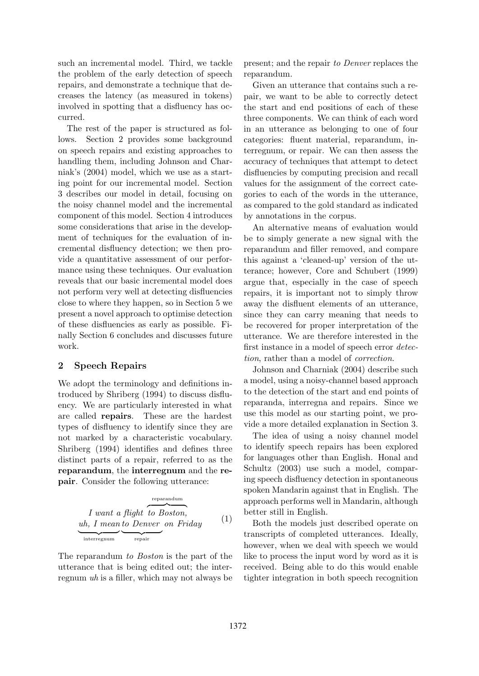such an incremental model. Third, we tackle the problem of the early detection of speech repairs, and demonstrate a technique that decreases the latency (as measured in tokens) involved in spotting that a disfluency has occurred.

The rest of the paper is structured as follows. Section 2 provides some background on speech repairs and existing approaches to handling them, including Johnson and Charniak's (2004) model, which we use as a starting point for our incremental model. Section 3 describes our model in detail, focusing on the noisy channel model and the incremental component of this model. Section 4 introduces some considerations that arise in the development of techniques for the evaluation of incremental disfluency detection; we then provide a quantitative assessment of our performance using these techniques. Our evaluation reveals that our basic incremental model does not perform very well at detecting disfluencies close to where they happen, so in Section 5 we present a novel approach to optimise detection of these disfluencies as early as possible. Finally Section 6 concludes and discusses future work.

### 2 Speech Repairs

We adopt the terminology and definitions introduced by Shriberg (1994) to discuss disfluency. We are particularly interested in what are called repairs. These are the hardest types of disfluency to identify since they are not marked by a characteristic vocabulary. Shriberg (1994) identifies and defines three distinct parts of a repair, referred to as the reparandum, the interregnum and the repair. Consider the following utterance:

$$
I \text{ want a flight to Boston,} \nuh, I mean to Denver on Friday (1) \ninterregnum
$$

The reparandum to Boston is the part of the utterance that is being edited out; the interregnum uh is a filler, which may not always be

present; and the repair to Denver replaces the reparandum.

Given an utterance that contains such a repair, we want to be able to correctly detect the start and end positions of each of these three components. We can think of each word in an utterance as belonging to one of four categories: fluent material, reparandum, interregnum, or repair. We can then assess the accuracy of techniques that attempt to detect disfluencies by computing precision and recall values for the assignment of the correct categories to each of the words in the utterance, as compared to the gold standard as indicated by annotations in the corpus.

An alternative means of evaluation would be to simply generate a new signal with the reparandum and filler removed, and compare this against a 'cleaned-up' version of the utterance; however, Core and Schubert (1999) argue that, especially in the case of speech repairs, it is important not to simply throw away the disfluent elements of an utterance, since they can carry meaning that needs to be recovered for proper interpretation of the utterance. We are therefore interested in the first instance in a model of speech error detection, rather than a model of correction.

Johnson and Charniak (2004) describe such a model, using a noisy-channel based approach to the detection of the start and end points of reparanda, interregna and repairs. Since we use this model as our starting point, we provide a more detailed explanation in Section 3.

The idea of using a noisy channel model to identify speech repairs has been explored for languages other than English. Honal and Schultz (2003) use such a model, comparing speech disfluency detection in spontaneous spoken Mandarin against that in English. The approach performs well in Mandarin, although better still in English.

Both the models just described operate on transcripts of completed utterances. Ideally, however, when we deal with speech we would like to process the input word by word as it is received. Being able to do this would enable tighter integration in both speech recognition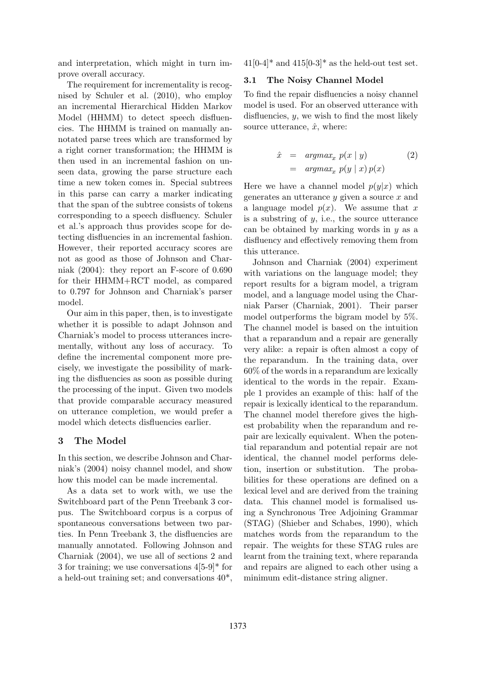and interpretation, which might in turn improve overall accuracy.

The requirement for incrementality is recognised by Schuler et al. (2010), who employ an incremental Hierarchical Hidden Markov Model (HHMM) to detect speech disfluencies. The HHMM is trained on manually annotated parse trees which are transformed by a right corner transformation; the HHMM is then used in an incremental fashion on unseen data, growing the parse structure each time a new token comes in. Special subtrees in this parse can carry a marker indicating that the span of the subtree consists of tokens corresponding to a speech disfluency. Schuler et al.'s approach thus provides scope for detecting disfluencies in an incremental fashion. However, their reported accuracy scores are not as good as those of Johnson and Charniak (2004): they report an F-score of 0.690 for their HHMM+RCT model, as compared to 0.797 for Johnson and Charniak's parser model.

Our aim in this paper, then, is to investigate whether it is possible to adapt Johnson and Charniak's model to process utterances incrementally, without any loss of accuracy. To define the incremental component more precisely, we investigate the possibility of marking the disfluencies as soon as possible during the processing of the input. Given two models that provide comparable accuracy measured on utterance completion, we would prefer a model which detects disfluencies earlier.

### 3 The Model

In this section, we describe Johnson and Charniak's (2004) noisy channel model, and show how this model can be made incremental.

As a data set to work with, we use the Switchboard part of the Penn Treebank 3 corpus. The Switchboard corpus is a corpus of spontaneous conversations between two parties. In Penn Treebank 3, the disfluencies are manually annotated. Following Johnson and Charniak (2004), we use all of sections 2 and 3 for training; we use conversations 4[5-9]\* for a held-out training set; and conversations 40\*,

 $41[0-4]^*$  and  $415[0-3]^*$  as the held-out test set.

#### 3.1 The Noisy Channel Model

To find the repair disfluencies a noisy channel model is used. For an observed utterance with disfluencies,  $y$ , we wish to find the most likely source utterance,  $\hat{x}$ , where:

$$
\begin{array}{rcl}\n\hat{x} & = & \operatorname{argmax}_x p(x \mid y) \\
& = & \operatorname{argmax}_x p(y \mid x) p(x)\n\end{array} \tag{2}
$$

Here we have a channel model  $p(y|x)$  which generates an utterance  $y$  given a source  $x$  and a language model  $p(x)$ . We assume that x is a substring of  $y$ , i.e., the source utterance can be obtained by marking words in  $y$  as a disfluency and effectively removing them from this utterance.

Johnson and Charniak (2004) experiment with variations on the language model; they report results for a bigram model, a trigram model, and a language model using the Charniak Parser (Charniak, 2001). Their parser model outperforms the bigram model by 5%. The channel model is based on the intuition that a reparandum and a repair are generally very alike: a repair is often almost a copy of the reparandum. In the training data, over 60% of the words in a reparandum are lexically identical to the words in the repair. Example 1 provides an example of this: half of the repair is lexically identical to the reparandum. The channel model therefore gives the highest probability when the reparandum and repair are lexically equivalent. When the potential reparandum and potential repair are not identical, the channel model performs deletion, insertion or substitution. The probabilities for these operations are defined on a lexical level and are derived from the training data. This channel model is formalised using a Synchronous Tree Adjoining Grammar (STAG) (Shieber and Schabes, 1990), which matches words from the reparandum to the repair. The weights for these STAG rules are learnt from the training text, where reparanda and repairs are aligned to each other using a minimum edit-distance string aligner.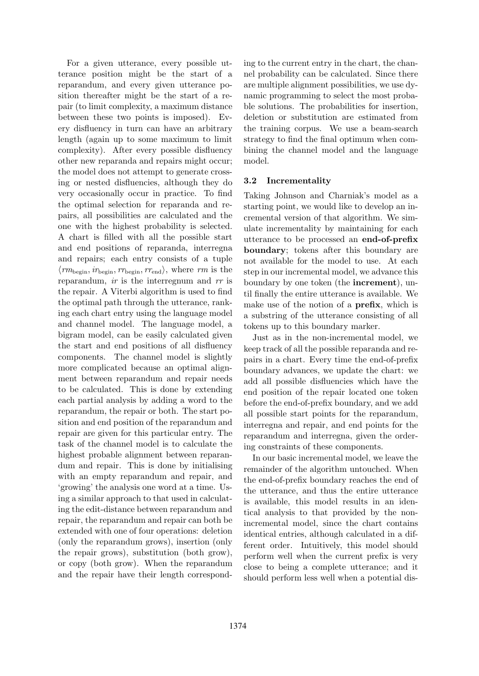For a given utterance, every possible utterance position might be the start of a reparandum, and every given utterance position thereafter might be the start of a repair (to limit complexity, a maximum distance between these two points is imposed). Every disfluency in turn can have an arbitrary length (again up to some maximum to limit complexity). After every possible disfluency other new reparanda and repairs might occur; the model does not attempt to generate crossing or nested disfluencies, although they do very occasionally occur in practice. To find the optimal selection for reparanda and repairs, all possibilities are calculated and the one with the highest probability is selected. A chart is filled with all the possible start and end positions of reparanda, interregna and repairs; each entry consists of a tuple  $\langle rm_{\text{begin}}; ir_{\text{begin}}; rr_{\text{begin}}; rr_{\text{end}}\rangle$ , where rm is the reparandum, *ir* is the interregnum and rr is the repair. A Viterbi algorithm is used to find the optimal path through the utterance, ranking each chart entry using the language model and channel model. The language model, a bigram model, can be easily calculated given the start and end positions of all disfluency components. The channel model is slightly more complicated because an optimal alignment between reparandum and repair needs to be calculated. This is done by extending each partial analysis by adding a word to the reparandum, the repair or both. The start position and end position of the reparandum and repair are given for this particular entry. The task of the channel model is to calculate the highest probable alignment between reparandum and repair. This is done by initialising with an empty reparandum and repair, and 'growing' the analysis one word at a time. Using a similar approach to that used in calculating the edit-distance between reparandum and repair, the reparandum and repair can both be extended with one of four operations: deletion (only the reparandum grows), insertion (only the repair grows), substitution (both grow), or copy (both grow). When the reparandum and the repair have their length corresponding to the current entry in the chart, the channel probability can be calculated. Since there are multiple alignment possibilities, we use dynamic programming to select the most probable solutions. The probabilities for insertion, deletion or substitution are estimated from the training corpus. We use a beam-search strategy to find the final optimum when combining the channel model and the language model.

### 3.2 Incrementality

Taking Johnson and Charniak's model as a starting point, we would like to develop an incremental version of that algorithm. We simulate incrementality by maintaining for each utterance to be processed an end-of-prefix boundary; tokens after this boundary are not available for the model to use. At each step in our incremental model, we advance this boundary by one token (the increment), until finally the entire utterance is available. We make use of the notion of a prefix, which is a substring of the utterance consisting of all tokens up to this boundary marker.

Just as in the non-incremental model, we keep track of all the possible reparanda and repairs in a chart. Every time the end-of-prefix boundary advances, we update the chart: we add all possible disfluencies which have the end position of the repair located one token before the end-of-prefix boundary, and we add all possible start points for the reparandum, interregna and repair, and end points for the reparandum and interregna, given the ordering constraints of these components.

In our basic incremental model, we leave the remainder of the algorithm untouched. When the end-of-prefix boundary reaches the end of the utterance, and thus the entire utterance is available, this model results in an identical analysis to that provided by the nonincremental model, since the chart contains identical entries, although calculated in a different order. Intuitively, this model should perform well when the current prefix is very close to being a complete utterance; and it should perform less well when a potential dis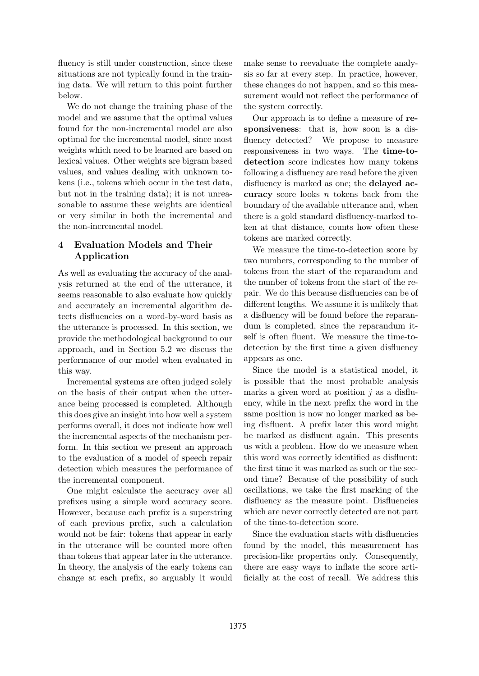fluency is still under construction, since these situations are not typically found in the training data. We will return to this point further below.

We do not change the training phase of the model and we assume that the optimal values found for the non-incremental model are also optimal for the incremental model, since most weights which need to be learned are based on lexical values. Other weights are bigram based values, and values dealing with unknown tokens (i.e., tokens which occur in the test data, but not in the training data); it is not unreasonable to assume these weights are identical or very similar in both the incremental and the non-incremental model.

# 4 Evaluation Models and Their Application

As well as evaluating the accuracy of the analysis returned at the end of the utterance, it seems reasonable to also evaluate how quickly and accurately an incremental algorithm detects disfluencies on a word-by-word basis as the utterance is processed. In this section, we provide the methodological background to our approach, and in Section 5.2 we discuss the performance of our model when evaluated in this way.

Incremental systems are often judged solely on the basis of their output when the utterance being processed is completed. Although this does give an insight into how well a system performs overall, it does not indicate how well the incremental aspects of the mechanism perform. In this section we present an approach to the evaluation of a model of speech repair detection which measures the performance of the incremental component.

One might calculate the accuracy over all prefixes using a simple word accuracy score. However, because each prefix is a superstring of each previous prefix, such a calculation would not be fair: tokens that appear in early in the utterance will be counted more often than tokens that appear later in the utterance. In theory, the analysis of the early tokens can change at each prefix, so arguably it would

make sense to reevaluate the complete analysis so far at every step. In practice, however, these changes do not happen, and so this measurement would not reflect the performance of the system correctly.

Our approach is to define a measure of responsiveness: that is, how soon is a disfluency detected? We propose to measure responsiveness in two ways. The time-todetection score indicates how many tokens following a disfluency are read before the given disfluency is marked as one; the **delayed ac**curacy score looks  $n$  tokens back from the boundary of the available utterance and, when there is a gold standard disfluency-marked token at that distance, counts how often these tokens are marked correctly.

We measure the time-to-detection score by two numbers, corresponding to the number of tokens from the start of the reparandum and the number of tokens from the start of the repair. We do this because disfluencies can be of different lengths. We assume it is unlikely that a disfluency will be found before the reparandum is completed, since the reparandum itself is often fluent. We measure the time-todetection by the first time a given disfluency appears as one.

Since the model is a statistical model, it is possible that the most probable analysis marks a given word at position  $i$  as a disfluency, while in the next prefix the word in the same position is now no longer marked as being disfluent. A prefix later this word might be marked as disfluent again. This presents us with a problem. How do we measure when this word was correctly identified as disfluent: the first time it was marked as such or the second time? Because of the possibility of such oscillations, we take the first marking of the disfluency as the measure point. Disfluencies which are never correctly detected are not part of the time-to-detection score.

Since the evaluation starts with disfluencies found by the model, this measurement has precision-like properties only. Consequently, there are easy ways to inflate the score artificially at the cost of recall. We address this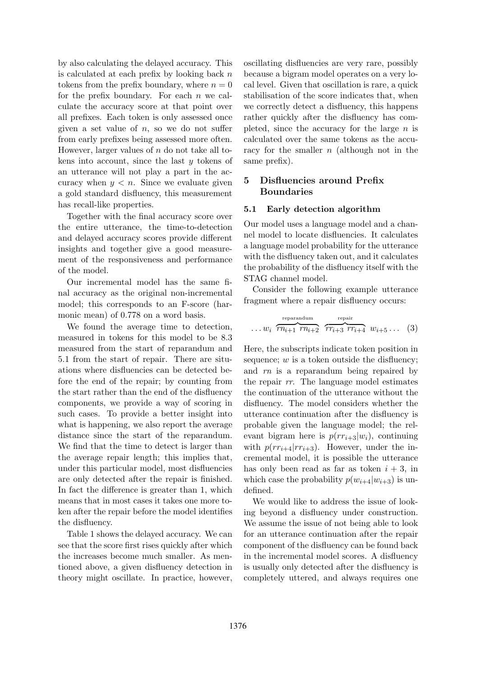by also calculating the delayed accuracy. This is calculated at each prefix by looking back  $n$ tokens from the prefix boundary, where  $n = 0$ for the prefix boundary. For each  $n$  we calculate the accuracy score at that point over all prefixes. Each token is only assessed once given a set value of  $n$ , so we do not suffer from early prefixes being assessed more often. However, larger values of n do not take all tokens into account, since the last  $y$  tokens of an utterance will not play a part in the accuracy when  $y < n$ . Since we evaluate given a gold standard disfluency, this measurement has recall-like properties.

Together with the final accuracy score over the entire utterance, the time-to-detection and delayed accuracy scores provide different insights and together give a good measurement of the responsiveness and performance of the model.

Our incremental model has the same final accuracy as the original non-incremental model; this corresponds to an F-score (harmonic mean) of 0.778 on a word basis.

We found the average time to detection, measured in tokens for this model to be 8.3 measured from the start of reparandum and 5.1 from the start of repair. There are situations where disfluencies can be detected before the end of the repair; by counting from the start rather than the end of the disfluency components, we provide a way of scoring in such cases. To provide a better insight into what is happening, we also report the average distance since the start of the reparandum. We find that the time to detect is larger than the average repair length; this implies that, under this particular model, most disfluencies are only detected after the repair is finished. In fact the difference is greater than 1, which means that in most cases it takes one more token after the repair before the model identifies the disfluency.

Table 1 shows the delayed accuracy. We can see that the score first rises quickly after which the increases become much smaller. As mentioned above, a given disfluency detection in theory might oscillate. In practice, however,

oscillating disfluencies are very rare, possibly because a bigram model operates on a very local level. Given that oscillation is rare, a quick stabilisation of the score indicates that, when we correctly detect a disfluency, this happens rather quickly after the disfluency has completed, since the accuracy for the large  $n$  is calculated over the same tokens as the accuracy for the smaller  $n$  (although not in the same prefix).

# 5 Disfluencies around Prefix Boundaries

### 5.1 Early detection algorithm

Our model uses a language model and a channel model to locate disfluencies. It calculates a language model probability for the utterance with the disfluency taken out, and it calculates the probability of the disfluency itself with the STAG channel model.

Consider the following example utterance fragment where a repair disfluency occurs:

$$
\dots w_i \overbrace{rn_{i+1} \cdot rn_{i+2}}^{\text{reparamdum}} \overbrace{rr_{i+3} \cdot rr_{i+4}}^{\text{repair}} w_{i+5} \dots (3)
$$

Here, the subscripts indicate token position in sequence;  $w$  is a token outside the disfluency; and rn is a reparandum being repaired by the repair rr. The language model estimates the continuation of the utterance without the disfluency. The model considers whether the utterance continuation after the disfluency is probable given the language model; the relevant bigram here is  $p(r r_{i+3} | w_i)$ , continuing with  $p(rr_{i+4}|rr_{i+3})$ . However, under the incremental model, it is possible the utterance has only been read as far as token  $i + 3$ , in which case the probability  $p(w_{i+4}|w_{i+3})$  is undefined.

We would like to address the issue of looking beyond a disfluency under construction. We assume the issue of not being able to look for an utterance continuation after the repair component of the disfluency can be found back in the incremental model scores. A disfluency is usually only detected after the disfluency is completely uttered, and always requires one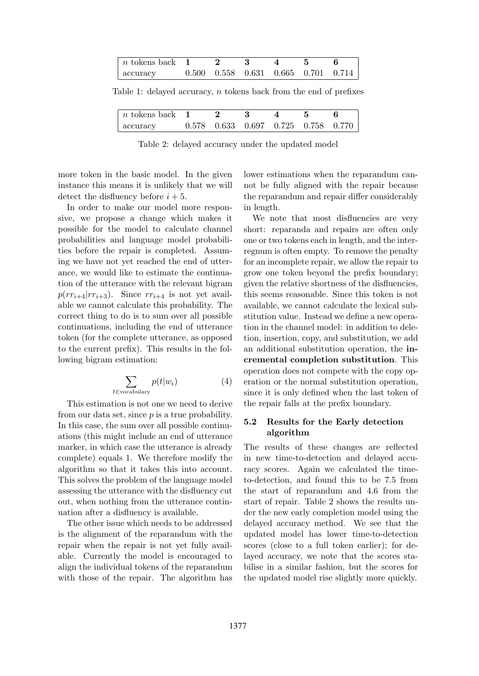| $n \text{ tokens back} \quad 1$ |  |  |                                                 |
|---------------------------------|--|--|-------------------------------------------------|
| accuracy                        |  |  | $0.500$ $0.558$ $0.631$ $0.665$ $0.701$ $0.714$ |

Table 1: delayed accuracy, n tokens back from the end of prefixes

| $n \text{ tokens back} \quad 1$ |  |                                                 |  |  |
|---------------------------------|--|-------------------------------------------------|--|--|
| accuracy                        |  | $0.578$ $0.633$ $0.697$ $0.725$ $0.758$ $0.770$ |  |  |

Table 2: delayed accuracy under the updated model

more token in the basic model. In the given instance this means it is unlikely that we will detect the disfluency before  $i + 5$ .

In order to make our model more responsive, we propose a change which makes it possible for the model to calculate channel probabilities and language model probabilities before the repair is completed. Assuming we have not yet reached the end of utterance, we would like to estimate the continuation of the utterance with the relevant bigram  $p(rr_{i+4}|rr_{i+3})$ . Since  $rr_{i+4}$  is not yet available we cannot calculate this probability. The correct thing to do is to sum over all possible continuations, including the end of utterance token (for the complete utterance, as opposed to the current prefix). This results in the following bigram estimation:

$$
\sum_{t \in \text{vocabulary}} p(t|w_i) \tag{4}
$$

This estimation is not one we need to derive from our data set, since  $p$  is a true probability. In this case, the sum over all possible continuations (this might include an end of utterance marker, in which case the utterance is already complete) equals 1. We therefore modify the algorithm so that it takes this into account. This solves the problem of the language model assessing the utterance with the disfluency cut out, when nothing from the utterance continuation after a disfluency is available.

The other issue which needs to be addressed is the alignment of the reparandum with the repair when the repair is not yet fully available. Currently the model is encouraged to align the individual tokens of the reparandum with those of the repair. The algorithm has

lower estimations when the reparandum cannot be fully aligned with the repair because the reparandum and repair differ considerably in length.

We note that most disfluencies are very short: reparanda and repairs are often only one or two tokens each in length, and the interregnum is often empty. To remove the penalty for an incomplete repair, we allow the repair to grow one token beyond the prefix boundary; given the relative shortness of the disfluencies, this seems reasonable. Since this token is not available, we cannot calculate the lexical substitution value. Instead we define a new operation in the channel model: in addition to deletion, insertion, copy, and substitution, we add an additional substitution operation, the incremental completion substitution. This operation does not compete with the copy operation or the normal substitution operation, since it is only defined when the last token of the repair falls at the prefix boundary.

### 5.2 Results for the Early detection algorithm

The results of these changes are reflected in new time-to-detection and delayed accuracy scores. Again we calculated the timeto-detection, and found this to be 7.5 from the start of reparandum and 4.6 from the start of repair. Table 2 shows the results under the new early completion model using the delayed accuracy method. We see that the updated model has lower time-to-detection scores (close to a full token earlier); for delayed accuracy, we note that the scores stabilise in a similar fashion, but the scores for the updated model rise slightly more quickly.